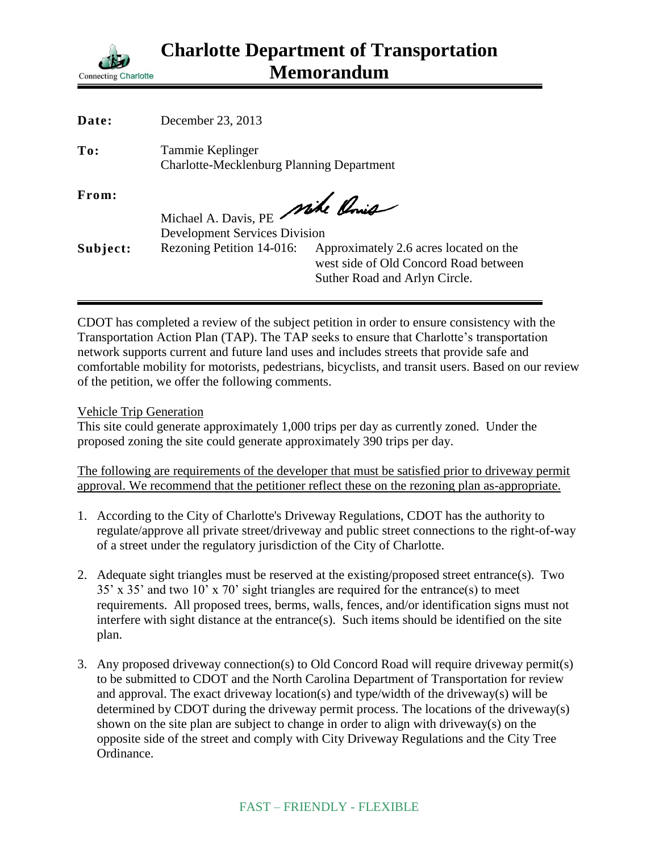

| Date:    | December 23, 2013                                                    |                                        |
|----------|----------------------------------------------------------------------|----------------------------------------|
| To:      | Tammie Keplinger<br><b>Charlotte-Mecklenburg Planning Department</b> |                                        |
| From:    | Michael A. Davis, PE Mike Ponie                                      |                                        |
|          | <b>Development Services Division</b>                                 |                                        |
| Subject: | Rezoning Petition 14-016:                                            | Approximately 2.6 acres located on the |
|          |                                                                      | west side of Old Concord Road between  |
|          |                                                                      |                                        |
|          |                                                                      | Suther Road and Arlyn Circle.          |

CDOT has completed a review of the subject petition in order to ensure consistency with the Transportation Action Plan (TAP). The TAP seeks to ensure that Charlotte's transportation network supports current and future land uses and includes streets that provide safe and comfortable mobility for motorists, pedestrians, bicyclists, and transit users. Based on our review of the petition, we offer the following comments.

Vehicle Trip Generation

This site could generate approximately 1,000 trips per day as currently zoned. Under the proposed zoning the site could generate approximately 390 trips per day.

The following are requirements of the developer that must be satisfied prior to driveway permit approval. We recommend that the petitioner reflect these on the rezoning plan as-appropriate.

- 1. According to the City of Charlotte's Driveway Regulations, CDOT has the authority to regulate/approve all private street/driveway and public street connections to the right-of-way of a street under the regulatory jurisdiction of the City of Charlotte.
- 2. Adequate sight triangles must be reserved at the existing/proposed street entrance(s). Two 35' x 35' and two 10' x 70' sight triangles are required for the entrance(s) to meet requirements. All proposed trees, berms, walls, fences, and/or identification signs must not interfere with sight distance at the entrance(s). Such items should be identified on the site plan.
- 3. Any proposed driveway connection(s) to Old Concord Road will require driveway permit(s) to be submitted to CDOT and the North Carolina Department of Transportation for review and approval. The exact driveway location(s) and type/width of the driveway(s) will be determined by CDOT during the driveway permit process. The locations of the driveway(s) shown on the site plan are subject to change in order to align with driveway(s) on the opposite side of the street and comply with City Driveway Regulations and the City Tree Ordinance.